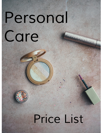## *Personal Care* BETTER THEM SEX



# *Price List*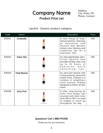## *Company Name Product Price List*

*Address City, State, ZIP Phone, Contact*

## *Lipstick Generic product category*

| Code   | Name                | Description                                                                                                                                                                         | Price |
|--------|---------------------|-------------------------------------------------------------------------------------------------------------------------------------------------------------------------------------|-------|
| 876441 | Cinderella          | A new lineup of long-<br>lasting lipsticks, featuring<br>an innovative, new<br>formula that delivers<br>instant color vibrancy and<br>conditions lips for a<br>hydrated feel.       | \$45  |
| 876442 | <b>Dolce Vita</b>   | An ultra-pigmented, satin-<br>finish lipstick that<br>provides all-day color and<br>up to 24 hours of<br>hydration while<br>smoothing<br>lips.                                      | \$45  |
| 876435 | <b>Fatal Beauty</b> | An ultra-slim lipstick with<br>a long-wearing, petal-soft<br>matte finish, created in a<br>rainbow of weightless,<br>color-intense shades<br>designed to flatter all skin<br>tones. | \$45  |
| 876438 | <b>Juicy Fruit</b>  | A silky, long-lasting lip<br>stain that keeps lips<br>covered with bold color<br>from AM to PM-no need<br>to reapply or touch up<br>throughout the day.                             | \$45  |

### *Questions? Call 1-888-PHONE*

*Thank you for your business.*